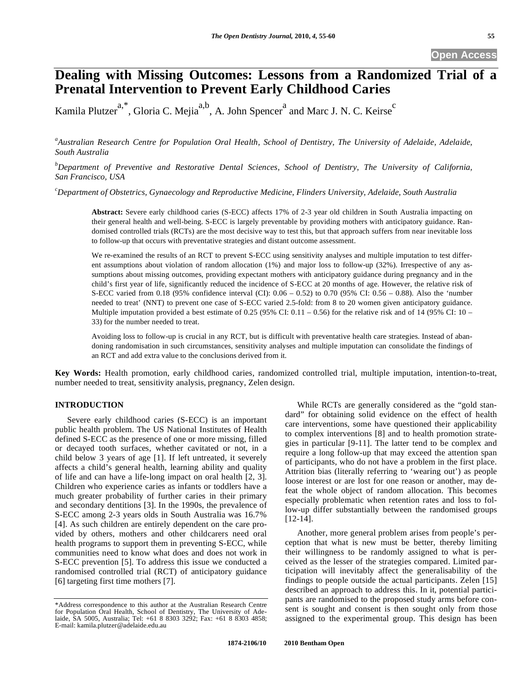# **Dealing with Missing Outcomes: Lessons from a Randomized Trial of a Prenatal Intervention to Prevent Early Childhood Caries**

Kamila Plutzer<sup>a,\*</sup>, Gloria C. Mejia<sup>a,b</sup>, A. John Spencer<sup>a</sup> and Marc J. N. C. Keirse<sup>c</sup>

<sup>a</sup> Australian Research Centre for Population Oral Health, School of Dentistry, The University of Adelaide, Adelaide, *South Australia* 

*b Department of Preventive and Restorative Dental Sciences, School of Dentistry, The University of California, San Francisco, USA* 

*c Department of Obstetrics, Gynaecology and Reproductive Medicine, Flinders University, Adelaide, South Australia* 

**Abstract:** Severe early childhood caries (S-ECC) affects 17% of 2-3 year old children in South Australia impacting on their general health and well-being. S-ECC is largely preventable by providing mothers with anticipatory guidance. Randomised controlled trials (RCTs) are the most decisive way to test this, but that approach suffers from near inevitable loss to follow-up that occurs with preventative strategies and distant outcome assessment.

We re-examined the results of an RCT to prevent S-ECC using sensitivity analyses and multiple imputation to test different assumptions about violation of random allocation (1%) and major loss to follow-up (32%). Irrespective of any assumptions about missing outcomes, providing expectant mothers with anticipatory guidance during pregnancy and in the child's first year of life, significantly reduced the incidence of S-ECC at 20 months of age. However, the relative risk of S-ECC varied from 0.18 (95% confidence interval (CI): 0.06 – 0.52) to 0.70 (95% CI: 0.56 – 0.88). Also the 'number needed to treat' (NNT) to prevent one case of S-ECC varied 2.5-fold: from 8 to 20 women given anticipatory guidance. Multiple imputation provided a best estimate of 0.25 (95% CI:  $0.11 - 0.56$ ) for the relative risk and of 14 (95% CI: 10 – 33) for the number needed to treat.

Avoiding loss to follow-up is crucial in any RCT, but is difficult with preventative health care strategies. Instead of abandoning randomisation in such circumstances, sensitivity analyses and multiple imputation can consolidate the findings of an RCT and add extra value to the conclusions derived from it.

**Key Words:** Health promotion, early childhood caries, randomized controlled trial, multiple imputation, intention-to-treat, number needed to treat, sensitivity analysis, pregnancy, Zelen design.

## **INTRODUCTION**

Severe early childhood caries (S-ECC) is an important public health problem. The US National Institutes of Health defined S-ECC as the presence of one or more missing, filled or decayed tooth surfaces, whether cavitated or not, in a child below 3 years of age [1]. If left untreated, it severely affects a child's general health, learning ability and quality of life and can have a life-long impact on oral health [2, 3]. Children who experience caries as infants or toddlers have a much greater probability of further caries in their primary and secondary dentitions [3]. In the 1990s, the prevalence of S-ECC among 2-3 years olds in South Australia was 16.7% [4]. As such children are entirely dependent on the care provided by others, mothers and other childcarers need oral health programs to support them in preventing S-ECC, while communities need to know what does and does not work in S-ECC prevention [5]. To address this issue we conducted a randomised controlled trial (RCT) of anticipatory guidance [6] targeting first time mothers [7].

While RCTs are generally considered as the "gold standard" for obtaining solid evidence on the effect of health care interventions, some have questioned their applicability to complex interventions [8] and to health promotion strategies in particular [9-11]. The latter tend to be complex and require a long follow-up that may exceed the attention span of participants, who do not have a problem in the first place. Attrition bias (literally referring to 'wearing out') as people loose interest or are lost for one reason or another, may defeat the whole object of random allocation. This becomes especially problematic when retention rates and loss to follow-up differ substantially between the randomised groups [12-14].

Another, more general problem arises from people's perception that what is new must be better, thereby limiting their willingness to be randomly assigned to what is perceived as the lesser of the strategies compared. Limited participation will inevitably affect the generalisability of the findings to people outside the actual participants. Zelen [15] described an approach to address this. In it, potential participants are randomised to the proposed study arms before consent is sought and consent is then sought only from those assigned to the experimental group. This design has been

<sup>\*</sup>Address correspondence to this author at the Australian Research Centre for Population Oral Health, School of Dentistry, The University of Adelaide, SA 5005, Australia; Tel: +61 8 8303 3292; Fax: +61 8 8303 4858; E-mail: kamila.plutzer@adelaide.edu.au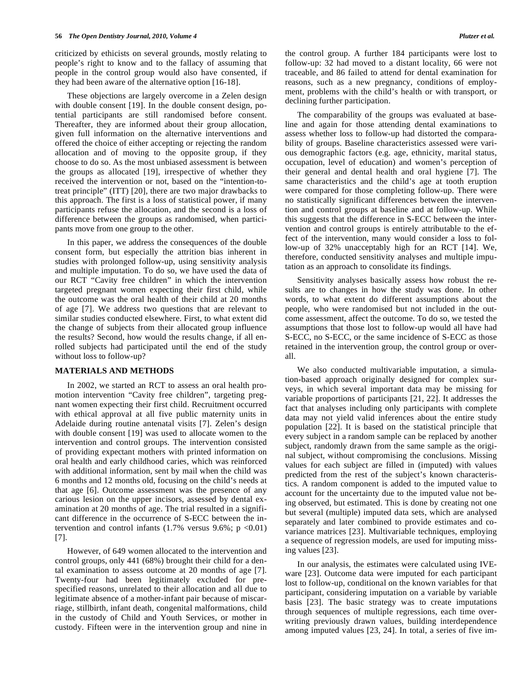criticized by ethicists on several grounds, mostly relating to people's right to know and to the fallacy of assuming that people in the control group would also have consented, if they had been aware of the alternative option [16-18].

These objections are largely overcome in a Zelen design with double consent [19]. In the double consent design, potential participants are still randomised before consent. Thereafter, they are informed about their group allocation, given full information on the alternative interventions and offered the choice of either accepting or rejecting the random allocation and of moving to the opposite group, if they choose to do so. As the most unbiased assessment is between the groups as allocated [19], irrespective of whether they received the intervention or not, based on the "intention-totreat principle" (ITT) [20], there are two major drawbacks to this approach. The first is a loss of statistical power, if many participants refuse the allocation, and the second is a loss of difference between the groups as randomised, when participants move from one group to the other.

In this paper, we address the consequences of the double consent form, but especially the attrition bias inherent in studies with prolonged follow-up, using sensitivity analysis and multiple imputation. To do so, we have used the data of our RCT "Cavity free children" in which the intervention targeted pregnant women expecting their first child, while the outcome was the oral health of their child at 20 months of age [7]. We address two questions that are relevant to similar studies conducted elsewhere. First, to what extent did the change of subjects from their allocated group influence the results? Second, how would the results change, if all enrolled subjects had participated until the end of the study without loss to follow-up?

## **MATERIALS AND METHODS**

In 2002, we started an RCT to assess an oral health promotion intervention "Cavity free children", targeting pregnant women expecting their first child. Recruitment occurred with ethical approval at all five public maternity units in Adelaide during routine antenatal visits [7]. Zelen's design with double consent [19] was used to allocate women to the intervention and control groups. The intervention consisted of providing expectant mothers with printed information on oral health and early childhood caries, which was reinforced with additional information, sent by mail when the child was 6 months and 12 months old, focusing on the child's needs at that age [6]. Outcome assessment was the presence of any carious lesion on the upper incisors, assessed by dental examination at 20 months of age. The trial resulted in a significant difference in the occurrence of S-ECC between the intervention and control infants  $(1.7\% \text{ versus } 9.6\%; \text{ p } <0.01)$ [7].

However, of 649 women allocated to the intervention and control groups, only 441 (68%) brought their child for a dental examination to assess outcome at 20 months of age [7]. Twenty-four had been legitimately excluded for prespecified reasons, unrelated to their allocation and all due to legitimate absence of a mother-infant pair because of miscarriage, stillbirth, infant death, congenital malformations, child in the custody of Child and Youth Services, or mother in custody. Fifteen were in the intervention group and nine in

The comparability of the groups was evaluated at baseline and again for those attending dental examinations to assess whether loss to follow-up had distorted the comparability of groups. Baseline characteristics assessed were various demographic factors (e.g. age, ethnicity, marital status, occupation, level of education) and women's perception of their general and dental health and oral hygiene [7]. The same characteristics and the child's age at tooth eruption were compared for those completing follow-up. There were no statistically significant differences between the intervention and control groups at baseline and at follow-up. While this suggests that the difference in S-ECC between the intervention and control groups is entirely attributable to the effect of the intervention, many would consider a loss to follow-up of 32% unacceptably high for an RCT [14]. We, therefore, conducted sensitivity analyses and multiple imputation as an approach to consolidate its findings.

Sensitivity analyses basically assess how robust the results are to changes in how the study was done. In other words, to what extent do different assumptions about the people, who were randomised but not included in the outcome assessment, affect the outcome. To do so, we tested the assumptions that those lost to follow-up would all have had S-ECC, no S-ECC, or the same incidence of S-ECC as those retained in the intervention group, the control group or overall.

We also conducted multivariable imputation, a simulation-based approach originally designed for complex surveys, in which several important data may be missing for variable proportions of participants [21, 22]. It addresses the fact that analyses including only participants with complete data may not yield valid inferences about the entire study population [22]. It is based on the statistical principle that every subject in a random sample can be replaced by another subject, randomly drawn from the same sample as the original subject, without compromising the conclusions. Missing values for each subject are filled in (imputed) with values predicted from the rest of the subject's known characteristics. A random component is added to the imputed value to account for the uncertainty due to the imputed value not being observed, but estimated. This is done by creating not one but several (multiple) imputed data sets, which are analysed separately and later combined to provide estimates and covariance matrices [23]. Multivariable techniques, employing a sequence of regression models, are used for imputing missing values [23].

In our analysis, the estimates were calculated using IVEware [23]. Outcome data were imputed for each participant lost to follow-up, conditional on the known variables for that participant, considering imputation on a variable by variable basis [23]. The basic strategy was to create imputations through sequences of multiple regressions, each time overwriting previously drawn values, building interdependence among imputed values [23, 24]. In total, a series of five im-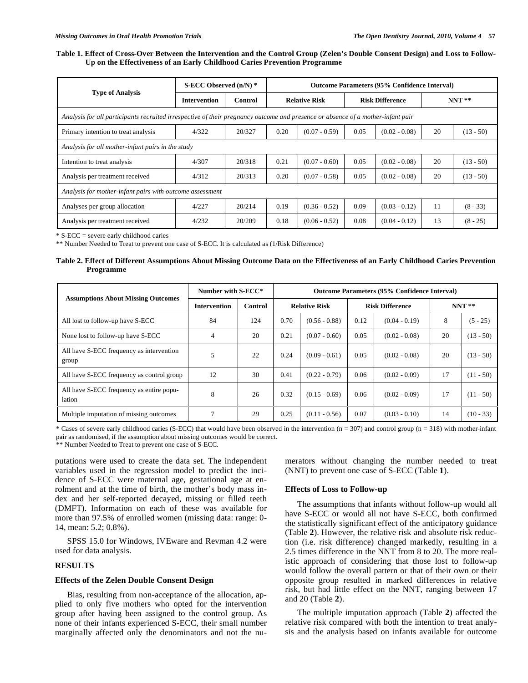#### **Table 1. Effect of Cross-Over Between the Intervention and the Control Group (Zelen's Double Consent Design) and Loss to Follow-Up on the Effectiveness of an Early Childhood Caries Prevention Programme**

| <b>Type of Analysis</b>                                                                                                         | S-ECC Observed $(n/N)$ * |         | <b>Outcome Parameters (95% Confidence Interval)</b> |                 |                        |                 |         |             |  |  |  |
|---------------------------------------------------------------------------------------------------------------------------------|--------------------------|---------|-----------------------------------------------------|-----------------|------------------------|-----------------|---------|-------------|--|--|--|
|                                                                                                                                 | <b>Intervention</b>      | Control | <b>Relative Risk</b>                                |                 | <b>Risk Difference</b> |                 | $NNT**$ |             |  |  |  |
| Analysis for all participants recruited irrespective of their pregnancy outcome and presence or absence of a mother-infant pair |                          |         |                                                     |                 |                        |                 |         |             |  |  |  |
| Primary intention to treat analysis                                                                                             | 4/322                    | 20/327  | 0.20                                                | $(0.07 - 0.59)$ | 0.05                   | $(0.02 - 0.08)$ | 20      | $(13 - 50)$ |  |  |  |
| Analysis for all mother-infant pairs in the study                                                                               |                          |         |                                                     |                 |                        |                 |         |             |  |  |  |
| Intention to treat analysis                                                                                                     | 4/307                    | 20/318  | 0.21                                                | $(0.07 - 0.60)$ | 0.05                   | $(0.02 - 0.08)$ | 20      | $(13 - 50)$ |  |  |  |
| Analysis per treatment received                                                                                                 | 4/312                    | 20/313  | 0.20                                                | $(0.07 - 0.58)$ | 0.05                   | $(0.02 - 0.08)$ | 20      | $(13 - 50)$ |  |  |  |
| Analysis for mother-infant pairs with outcome assessment                                                                        |                          |         |                                                     |                 |                        |                 |         |             |  |  |  |
| Analyses per group allocation                                                                                                   | 4/227                    | 20/214  | 0.19                                                | $(0.36 - 0.52)$ | 0.09                   | $(0.03 - 0.12)$ | 11      | $(8 - 33)$  |  |  |  |
| Analysis per treatment received                                                                                                 | 4/232                    | 20/209  | 0.18                                                | $(0.06 - 0.52)$ | 0.08                   | $(0.04 - 0.12)$ | 13      | $(8 - 25)$  |  |  |  |

\* S-ECC = severe early childhood caries

\*\* Number Needed to Treat to prevent one case of S-ECC. It is calculated as (1/Risk Difference)

#### **Table 2. Effect of Different Assumptions About Missing Outcome Data on the Effectiveness of an Early Childhood Caries Prevention Programme**

| <b>Assumptions About Missing Outcomes</b>          | Number with S-ECC*  |         | <b>Outcome Parameters (95% Confidence Interval)</b> |                 |                        |                 |         |             |  |
|----------------------------------------------------|---------------------|---------|-----------------------------------------------------|-----------------|------------------------|-----------------|---------|-------------|--|
|                                                    | <b>Intervention</b> | Control | <b>Relative Risk</b>                                |                 | <b>Risk Difference</b> |                 | $NNT**$ |             |  |
| All lost to follow-up have S-ECC                   | 84                  | 124     | 0.70                                                | $(0.56 - 0.88)$ | 0.12                   | $(0.04 - 0.19)$ | 8       | $(5 - 25)$  |  |
| None lost to follow-up have S-ECC                  | 4                   | 20      | 0.21                                                | $(0.07 - 0.60)$ | 0.05                   | $(0.02 - 0.08)$ | 20      | $(13 - 50)$ |  |
| All have S-ECC frequency as intervention<br>group  | 5                   | 22      | 0.24                                                | $(0.09 - 0.61)$ | 0.05                   | $(0.02 - 0.08)$ | 20      | $(13 - 50)$ |  |
| All have S-ECC frequency as control group          | 12                  | 30      | 0.41                                                | $(0.22 - 0.79)$ | 0.06                   | $(0.02 - 0.09)$ | 17      | $(11 - 50)$ |  |
| All have S-ECC frequency as entire popu-<br>lation | 8                   | 26      | 0.32                                                | $(0.15 - 0.69)$ | 0.06                   | $(0.02 - 0.09)$ | 17      | $(11 - 50)$ |  |
| Multiple imputation of missing outcomes            | 7                   | 29      | 0.25                                                | $(0.11 - 0.56)$ | 0.07                   | $(0.03 - 0.10)$ | 14      | $(10 - 33)$ |  |

\* Cases of severe early childhood caries (S-ECC) that would have been observed in the intervention ( $n = 307$ ) and control group ( $n = 318$ ) with mother-infant pair as randomised, if the assumption about missing outcomes would be correct.

\*\* Number Needed to Treat to prevent one case of S-ECC.

putations were used to create the data set. The independent variables used in the regression model to predict the incidence of S-ECC were maternal age, gestational age at enrolment and at the time of birth, the mother's body mass index and her self-reported decayed, missing or filled teeth (DMFT). Information on each of these was available for more than 97.5% of enrolled women (missing data: range: 0- 14, mean: 5.2; 0.8%).

SPSS 15.0 for Windows, IVEware and Revman 4.2 were used for data analysis.

# **RESULTS**

#### **Effects of the Zelen Double Consent Design**

Bias, resulting from non-acceptance of the allocation, applied to only five mothers who opted for the intervention group after having been assigned to the control group. As none of their infants experienced S-ECC, their small number marginally affected only the denominators and not the numerators without changing the number needed to treat (NNT) to prevent one case of S-ECC (Table **1**).

## **Effects of Loss to Follow-up**

The assumptions that infants without follow-up would all have S-ECC or would all not have S-ECC, both confirmed the statistically significant effect of the anticipatory guidance (Table **2**). However, the relative risk and absolute risk reduction (i.e. risk difference) changed markedly, resulting in a 2.5 times difference in the NNT from 8 to 20. The more realistic approach of considering that those lost to follow-up would follow the overall pattern or that of their own or their opposite group resulted in marked differences in relative risk, but had little effect on the NNT, ranging between 17 and 20 (Table **2**).

The multiple imputation approach (Table **2**) affected the relative risk compared with both the intention to treat analysis and the analysis based on infants available for outcome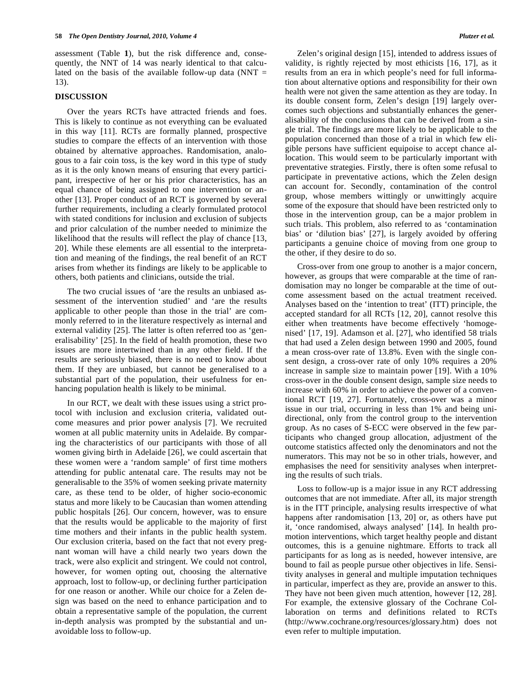assessment (Table **1**), but the risk difference and, consequently, the NNT of 14 was nearly identical to that calculated on the basis of the available follow-up data (NNT  $=$ 13).

#### **DISCUSSION**

Over the years RCTs have attracted friends and foes. This is likely to continue as not everything can be evaluated in this way [11]. RCTs are formally planned, prospective studies to compare the effects of an intervention with those obtained by alternative approaches. Randomisation, analogous to a fair coin toss, is the key word in this type of study as it is the only known means of ensuring that every participant, irrespective of her or his prior characteristics, has an equal chance of being assigned to one intervention or another [13]. Proper conduct of an RCT is governed by several further requirements, including a clearly formulated protocol with stated conditions for inclusion and exclusion of subjects and prior calculation of the number needed to minimize the likelihood that the results will reflect the play of chance [13, 20]. While these elements are all essential to the interpretation and meaning of the findings, the real benefit of an RCT arises from whether its findings are likely to be applicable to others, both patients and clinicians, outside the trial.

The two crucial issues of 'are the results an unbiased assessment of the intervention studied' and 'are the results applicable to other people than those in the trial' are commonly referred to in the literature respectively as internal and external validity [25]. The latter is often referred too as 'generalisability' [25]. In the field of health promotion, these two issues are more intertwined than in any other field. If the results are seriously biased, there is no need to know about them. If they are unbiased, but cannot be generalised to a substantial part of the population, their usefulness for enhancing population health is likely to be minimal.

In our RCT, we dealt with these issues using a strict protocol with inclusion and exclusion criteria, validated outcome measures and prior power analysis [7]. We recruited women at all public maternity units in Adelaide. By comparing the characteristics of our participants with those of all women giving birth in Adelaide [26], we could ascertain that these women were a 'random sample' of first time mothers attending for public antenatal care. The results may not be generalisable to the 35% of women seeking private maternity care, as these tend to be older, of higher socio-economic status and more likely to be Caucasian than women attending public hospitals [26]. Our concern, however, was to ensure that the results would be applicable to the majority of first time mothers and their infants in the public health system. Our exclusion criteria, based on the fact that not every pregnant woman will have a child nearly two years down the track, were also explicit and stringent. We could not control, however, for women opting out, choosing the alternative approach, lost to follow-up, or declining further participation for one reason or another. While our choice for a Zelen design was based on the need to enhance participation and to obtain a representative sample of the population, the current in-depth analysis was prompted by the substantial and unavoidable loss to follow-up.

Zelen's original design [15], intended to address issues of validity, is rightly rejected by most ethicists [16, 17], as it results from an era in which people's need for full information about alternative options and responsibility for their own health were not given the same attention as they are today. In its double consent form, Zelen's design [19] largely overcomes such objections and substantially enhances the generalisability of the conclusions that can be derived from a single trial. The findings are more likely to be applicable to the population concerned than those of a trial in which few eligible persons have sufficient equipoise to accept chance allocation. This would seem to be particularly important with preventative strategies. Firstly, there is often some refusal to participate in preventative actions, which the Zelen design can account for. Secondly, contamination of the control group, whose members wittingly or unwittingly acquire some of the exposure that should have been restricted only to those in the intervention group, can be a major problem in such trials. This problem, also referred to as 'contamination bias' or 'dilution bias' [27], is largely avoided by offering participants a genuine choice of moving from one group to the other, if they desire to do so.

Cross-over from one group to another is a major concern, however, as groups that were comparable at the time of randomisation may no longer be comparable at the time of outcome assessment based on the actual treatment received. Analyses based on the 'intention to treat' (ITT) principle, the accepted standard for all RCTs [12, 20], cannot resolve this either when treatments have become effectively 'homogenised' [17, 19]. Adamson et al. [27], who identified 58 trials that had used a Zelen design between 1990 and 2005, found a mean cross-over rate of 13.8%. Even with the single consent design, a cross-over rate of only 10% requires a 20% increase in sample size to maintain power [19]. With a 10% cross-over in the double consent design, sample size needs to increase with 60% in order to achieve the power of a conventional RCT [19, 27]. Fortunately, cross-over was a minor issue in our trial, occurring in less than 1% and being unidirectional, only from the control group to the intervention group. As no cases of S-ECC were observed in the few participants who changed group allocation, adjustment of the outcome statistics affected only the denominators and not the numerators. This may not be so in other trials, however, and emphasises the need for sensitivity analyses when interpreting the results of such trials.

Loss to follow-up is a major issue in any RCT addressing outcomes that are not immediate. After all, its major strength is in the ITT principle, analysing results irrespective of what happens after randomisation [13, 20] or, as others have put it, 'once randomised, always analysed' [14]. In health promotion interventions, which target healthy people and distant outcomes, this is a genuine nightmare. Efforts to track all participants for as long as is needed, however intensive, are bound to fail as people pursue other objectives in life. Sensitivity analyses in general and multiple imputation techniques in particular, imperfect as they are, provide an answer to this. They have not been given much attention, however [12, 28]. For example, the extensive glossary of the Cochrane Collaboration on terms and definitions related to RCTs (http://www.cochrane.org/resources/glossary.htm) does not even refer to multiple imputation.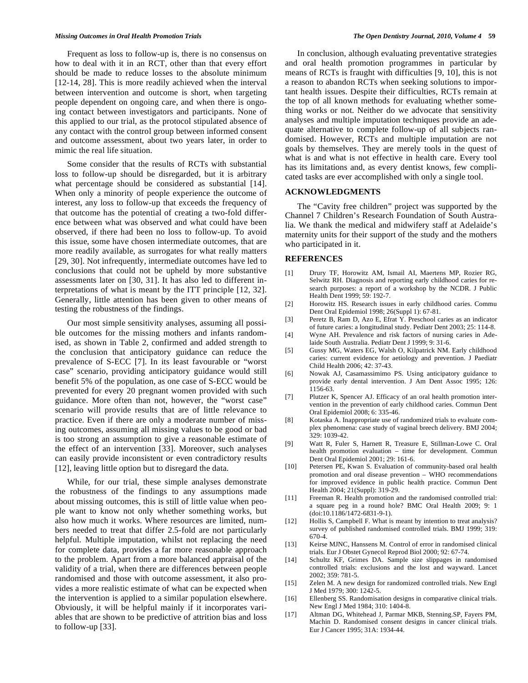Frequent as loss to follow-up is, there is no consensus on how to deal with it in an RCT, other than that every effort should be made to reduce losses to the absolute minimum [12-14, 28]. This is more readily achieved when the interval between intervention and outcome is short, when targeting people dependent on ongoing care, and when there is ongoing contact between investigators and participants. None of this applied to our trial, as the protocol stipulated absence of any contact with the control group between informed consent and outcome assessment, about two years later, in order to mimic the real life situation.

Some consider that the results of RCTs with substantial loss to follow-up should be disregarded, but it is arbitrary what percentage should be considered as substantial [14]. When only a minority of people experience the outcome of interest, any loss to follow-up that exceeds the frequency of that outcome has the potential of creating a two-fold difference between what was observed and what could have been observed, if there had been no loss to follow-up. To avoid this issue, some have chosen intermediate outcomes, that are more readily available, as surrogates for what really matters [29, 30]. Not infrequently, intermediate outcomes have led to conclusions that could not be upheld by more substantive assessments later on [30, 31]. It has also led to different interpretations of what is meant by the ITT principle [12, 32]. Generally, little attention has been given to other means of testing the robustness of the findings.

Our most simple sensitivity analyses, assuming all possible outcomes for the missing mothers and infants randomised, as shown in Table 2, confirmed and added strength to the conclusion that anticipatory guidance can reduce the prevalence of S-ECC [7]. In its least favourable or "worst case" scenario, providing anticipatory guidance would still benefit 5% of the population, as one case of S-ECC would be prevented for every 20 pregnant women provided with such guidance. More often than not, however, the "worst case" scenario will provide results that are of little relevance to practice. Even if there are only a moderate number of missing outcomes, assuming all missing values to be good or bad is too strong an assumption to give a reasonable estimate of the effect of an intervention [33]. Moreover, such analyses can easily provide inconsistent or even contradictory results [12], leaving little option but to disregard the data.

While, for our trial, these simple analyses demonstrate the robustness of the findings to any assumptions made about missing outcomes, this is still of little value when people want to know not only whether something works, but also how much it works. Where resources are limited, numbers needed to treat that differ 2.5-fold are not particularly helpful. Multiple imputation, whilst not replacing the need for complete data, provides a far more reasonable approach to the problem. Apart from a more balanced appraisal of the validity of a trial, when there are differences between people randomised and those with outcome assessment, it also provides a more realistic estimate of what can be expected when the intervention is applied to a similar population elsewhere. Obviously, it will be helpful mainly if it incorporates variables that are shown to be predictive of attrition bias and loss to follow-up [33].

In conclusion, although evaluating preventative strategies and oral health promotion programmes in particular by means of RCTs is fraught with difficulties [9, 10], this is not a reason to abandon RCTs when seeking solutions to important health issues. Despite their difficulties, RCTs remain at the top of all known methods for evaluating whether something works or not. Neither do we advocate that sensitivity analyses and multiple imputation techniques provide an adequate alternative to complete follow-up of all subjects randomised. However, RCTs and multiple imputation are not goals by themselves. They are merely tools in the quest of what is and what is not effective in health care. Every tool has its limitations and, as every dentist knows, few complicated tasks are ever accomplished with only a single tool.

## **ACKNOWLEDGMENTS**

The "Cavity free children" project was supported by the Channel 7 Children's Research Foundation of South Australia. We thank the medical and midwifery staff at Adelaide's maternity units for their support of the study and the mothers who participated in it.

#### **REFERENCES**

- [1] Drury TF, Horowitz AM, Ismail AI, Maertens MP, Rozier RG, Selwitz RH. Diagnosis and reporting early childhood caries for research purposes: a report of a workshop by the NCDR. J Public Health Dent 1999; 59: 192-7.
- [2] Horowitz HS. Research issues in early childhood caries. Commu Dent Oral Epidemiol 1998; 26(Suppl 1): 67-81.
- [3] Peretz B, Ram D, Azo E, Efrat Y. Preschool caries as an indicator of future caries: a longitudinal study. Pediatr Dent 2003; 25: 114-8.
- [4] Wyne AH. Prevalence and risk factors of nursing caries in Adelaide South Australia. Pediatr Dent J 1999; 9: 31-6.
- [5] Gussy MG, Waters EG, Walsh O, Kilpatrick NM. Early childhood caries: current evidence for aetiology and prevention. J Paediatr Child Health 2006; 42: 37-43.
- [6] Nowak AJ, Casamassimimo PS. Using anticipatory guidance to provide early dental intervention. J Am Dent Assoc 1995; 126: 1156-63.
- [7] Plutzer K, Spencer AJ. Efficacy of an oral health promotion intervention in the prevention of early childhood caries. Commun Dent Oral Epidemiol 2008; 6: 335-46.
- [8] Kotaska A. Inappropriate use of randomized trials to evaluate complex phenomena: case study of vaginal breech delivery. BMJ 2004; 329: 1039-42.
- [9] Watt R, Fuler S, Harnett R, Treasure E, Stillman-Lowe C. Oral health promotion evaluation – time for development. Commun Dent Oral Epidemiol 2001; 29: 161-6.
- [10] Petersen PE, Kwan S. Evaluation of community-based oral health promotion and oral disease prevention – WHO recommendations for improved evidence in public health practice. Commun Dent Health 2004; 21(Suppl): 319-29.
- [11] Freeman R. Health promotion and the randomised controlled trial: a square peg in a round hole? BMC Oral Health 2009; 9: 1 (doi:10.1186/1472-6831-9-1).
- [12] Hollis S, Campbell F. What is meant by intention to treat analysis? survey of published randomised controlled trials. BMJ 1999; 319: 670-4.
- [13] Keirse MJNC, Hanssens M. Control of error in randomised clinical trials. Eur J Obstet Gynecol Reprod Biol 2000; 92: 67-74.
- [14] Schultz KF, Grimes DA. Sample size slippages in randomised controlled trials: exclusions and the lost and wayward. Lancet 2002; 359: 781-5.
- [15] Zelen M. A new design for randomized controlled trials. New Engl J Med 1979; 300: 1242-5.
- [16] Ellenberg SS. Randomisation designs in comparative clinical trials. New Engl J Med 1984; 310: 1404-8.
- [17] Altman DG, Whitehead J, Parmar MKB, Stenning.SP, Fayers PM, Machin D. Randomised consent designs in cancer clinical trials. Eur J Cancer 1995; 31A: 1934-44.